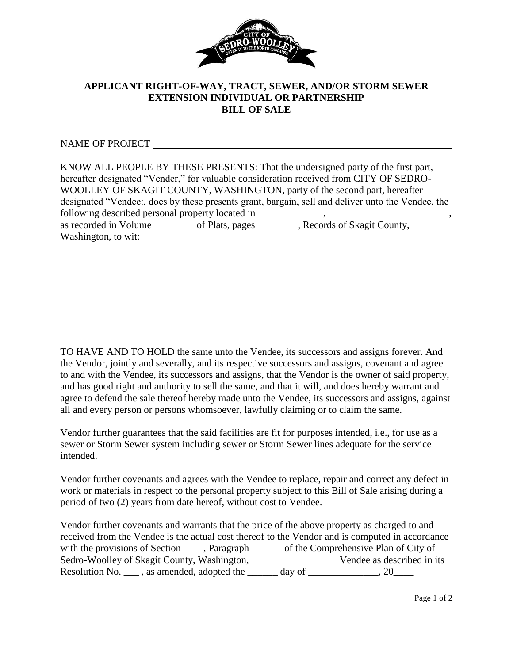

## **APPLICANT RIGHT-OF-WAY, TRACT, SEWER, AND/OR STORM SEWER EXTENSION INDIVIDUAL OR PARTNERSHIP BILL OF SALE**

NAME OF PROJECT

TO HAVE AND TO HOLD the same unto the Vendee, its successors and assigns forever. And the Vendor, jointly and severally, and its respective successors and assigns, covenant and agree to and with the Vendee, its successors and assigns, that the Vendor is the owner of said property, and has good right and authority to sell the same, and that it will, and does hereby warrant and agree to defend the sale thereof hereby made unto the Vendee, its successors and assigns, against all and every person or persons whomsoever, lawfully claiming or to claim the same.

Vendor further guarantees that the said facilities are fit for purposes intended, i.e., for use as a sewer or Storm Sewer system including sewer or Storm Sewer lines adequate for the service intended.

Vendor further covenants and agrees with the Vendee to replace, repair and correct any defect in work or materials in respect to the personal property subject to this Bill of Sale arising during a period of two (2) years from date hereof, without cost to Vendee.

Vendor further covenants and warrants that the price of the above property as charged to and received from the Vendee is the actual cost thereof to the Vendor and is computed in accordance with the provisions of Section \_\_\_\_, Paragraph \_\_\_\_\_\_ of the Comprehensive Plan of City of Sedro-Woolley of Skagit County, Washington, \_\_\_\_\_\_\_\_\_\_\_\_\_\_\_\_\_ Vendee as described in its Resolution No.  $\frac{1}{2}$ , as amended, adopted the  $\frac{1}{2}$  day of  $\frac{1}{2}$ , 20